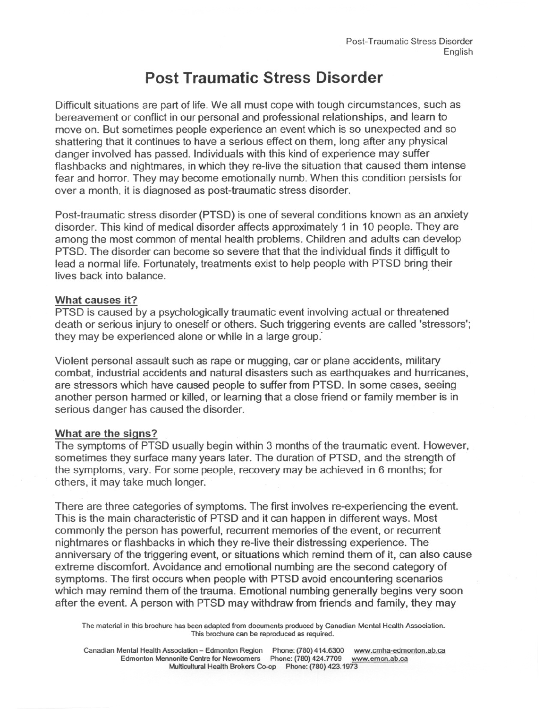# **Post Traumatic Stress Disorder**

Difficult situations are part of life. We all must cope with tough circumstances, such as bereavement or conflict in our personal and professional relationships, and learn to move on. But sometimes people experience an event which is so unexpected and so shattering that it continues to have a serious effect on them, long after any physical danger involved has passed. Individuals with this kind of experience may suffer flashbacks and nightmares, inwhich they re-live the situation that caused them intense fear and horror. They may become emotionally numb.When this condition persists for over a month, it is diagnosed as post-traumatic stress disorder.

Post-traumatic stress disorder(PTSD) is one of several conditions known as an anxiety disorder. This kind of medical disorder affects approximately 1 in 10 people. They are among the most common of mental health problems. Children and adults can develop PTSD. The disorder can become so severe that that the individual finds it difficult to lead a normal life. Fortunately, treatments exist to help people with PTSD bring their lives back into balance.

# What causes it?

PTSD is caused by a psychologically traumatic event involving actual or threatened death or serious injury to oneself or others. Such triggering events are called 'stressors'; they may be experienced alone or while in a large group:

Violent personal assault such as rape or mugging, car or plane accidents, military combat, industrial accidents and natural disasters such as earthquakes and hurricanes, are stressors which have caused people to suffer from PTSD. In some cases, seeing another person harmed or killed, or learning that a close friend or family member is in serious danger has caused the disorder.

## What are the signs?

The symptoms of PTSD usually begin within 3 months of the traumatic event. However, sometimes they surface many years later. The duration of PTSD, and the strength of the symptoms, vary. For some people, recovery may be achieved in 6 months; for others, it may take much longer:

There are three categories of symptoms. The first involves re-experiencing the event. This is the main characteristic of PTSD and it can happen in different ways. Most commonly the person has powerful, recurrent memories of the event, or recurrent nightmares or flashbacks in which they re-live their distressing experience. The anniversary of the triggering event, or situations which remind them of it, can also cause extreme discomfort. Avoidance and emotional numbing are the second category of symptoms. The first occurs when people with PTSD avoid encountering scenarios which may remind them of the trauma. Emotional numbing generally begins very soon after the event. A person with PTSD may withdraw from friends and family, they may

The material in this brochure has been adapted from documents produced by Canadian Mental Health Association. This brochure can be reproduced as required.